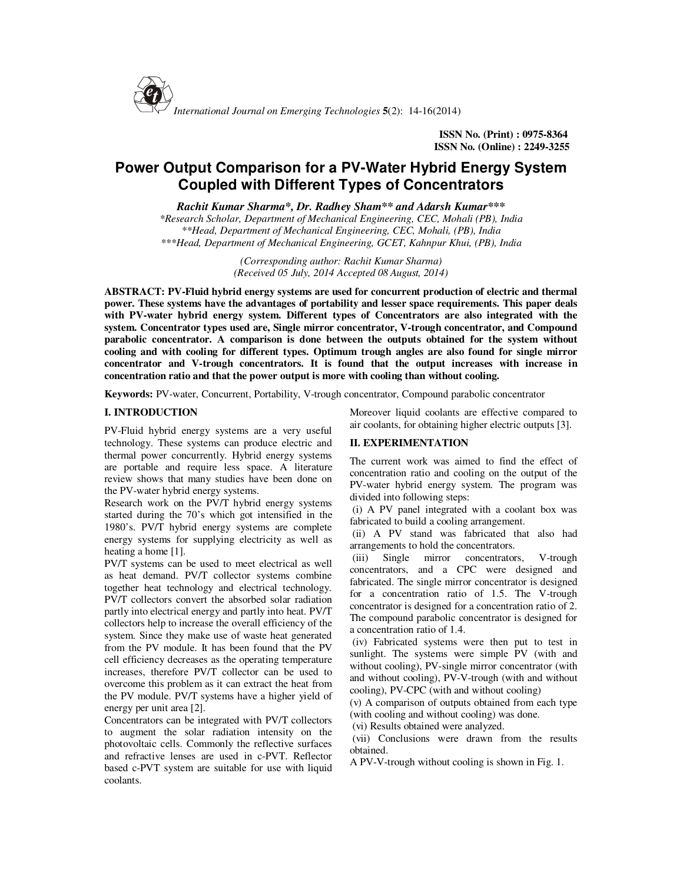

**ISSN No. (Print) : 0975-8364 ISSN No. (Online) : 2249-3255**

# **Power Output Comparison for a PV-Water Hybrid Energy System Coupled with Different Types of Concentrators**

*Rachit Kumar Sharma\*, Dr. Radhey Sham\*\* and Adarsh Kumar\*\*\**

*\*Research Scholar, Department of Mechanical Engineering, CEC, Mohali (PB), India \*\*Head, Department of Mechanical Engineering, CEC, Mohali, (PB), India \*\*\*Head, Department of Mechanical Engineering, GCET, Kahnpur Khui, (PB), India* 

> *(Corresponding author: Rachit Kumar Sharma) (Received 05 July, 2014 Accepted 08 August, 2014)*

**ABSTRACT: PV-Fluid hybrid energy systems are used for concurrent production of electric and thermal power. These systems have the advantages of portability and lesser space requirements. This paper deals with PV-water hybrid energy system. Different types of Concentrators are also integrated with the system. Concentrator types used are, Single mirror concentrator, V-trough concentrator, and Compound parabolic concentrator. A comparison is done between the outputs obtained for the system without cooling and with cooling for different types. Optimum trough angles are also found for single mirror concentrator and V-trough concentrators. It is found that the output increases with increase in concentration ratio and that the power output is more with cooling than without cooling.** 

**Keywords:** PV-water, Concurrent, Portability, V-trough concentrator, Compound parabolic concentrator

### **I. INTRODUCTION**

PV-Fluid hybrid energy systems are a very useful technology. These systems can produce electric and thermal power concurrently. Hybrid energy systems are portable and require less space. A literature review shows that many studies have been done on the PV-water hybrid energy systems.

Research work on the PV/T hybrid energy systems started during the 70's which got intensified in the 1980's. PV/T hybrid energy systems are complete energy systems for supplying electricity as well as heating a home [1].

PV/T systems can be used to meet electrical as well as heat demand. PV/T collector systems combine together heat technology and electrical technology. PV/T collectors convert the absorbed solar radiation partly into electrical energy and partly into heat. PV/T collectors help to increase the overall efficiency of the system. Since they make use of waste heat generated from the PV module. It has been found that the PV cell efficiency decreases as the operating temperature increases, therefore PV/T collector can be used to overcome this problem as it can extract the heat from the PV module. PV/T systems have a higher yield of energy per unit area [2].

Concentrators can be integrated with PV/T collectors to augment the solar radiation intensity on the photovoltaic cells. Commonly the reflective surfaces and refractive lenses are used in c-PVT. Reflector based c-PVT system are suitable for use with liquid coolants.

Moreover liquid coolants are effective compared to air coolants, for obtaining higher electric outputs [3].

## **II. EXPERIMENTATION**

The current work was aimed to find the effect of concentration ratio and cooling on the output of the PV-water hybrid energy system. The program was divided into following steps:

 (i) A PV panel integrated with a coolant box was fabricated to build a cooling arrangement.

 (ii) A PV stand was fabricated that also had arrangements to hold the concentrators.

 (iii) Single mirror concentrators, V-trough concentrators, and a CPC were designed and fabricated. The single mirror concentrator is designed for a concentration ratio of 1.5. The V-trough concentrator is designed for a concentration ratio of 2. The compound parabolic concentrator is designed for a concentration ratio of 1.4.

 (iv) Fabricated systems were then put to test in sunlight. The systems were simple PV (with and without cooling), PV-single mirror concentrator (with and without cooling), PV-V-trough (with and without cooling), PV-CPC (with and without cooling)

(v) A comparison of outputs obtained from each type (with cooling and without cooling) was done.

(vi) Results obtained were analyzed.

 (vii) Conclusions were drawn from the results obtained.

A PV-V-trough without cooling is shown in Fig. 1.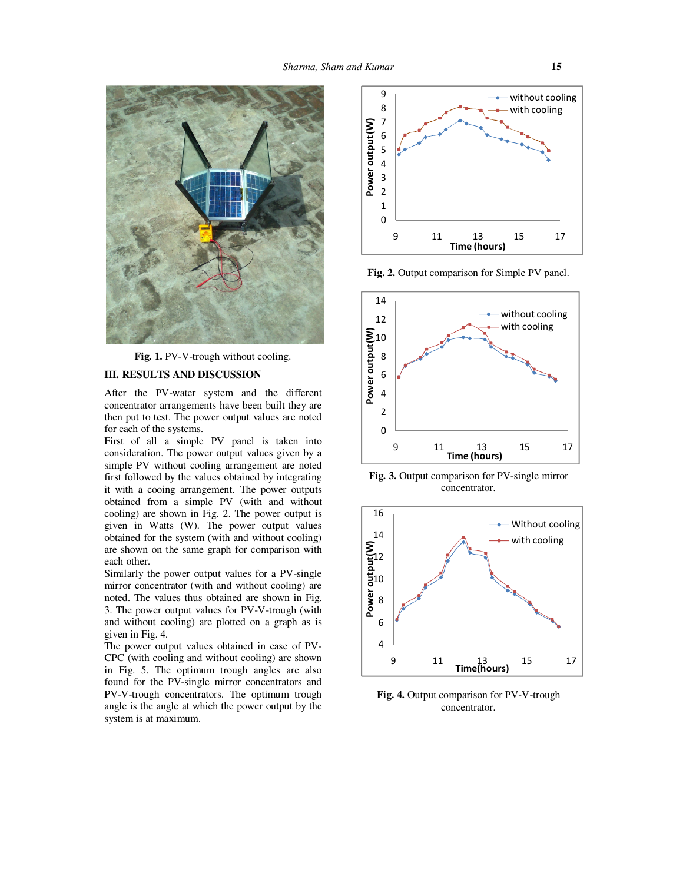

Fig. 1. PV-V-trough without cooling.

#### **III. RESULTS AND DISCUSSION**

After the PV-water system and the different concentrator arrangements have been built they are then put to test. The power output values are noted for each of the systems.

First of all a simple PV panel is taken into consideration. The power output values given by a simple PV without cooling arrangement are noted first followed by the values obtained by integrating it with a cooing arrangement. The power outputs obtained from a simple PV (with and without cooling) are shown in Fig. 2. The power output is given in Watts (W). The power output values obtained for the system (with and without cooling) are shown on the same graph for comparison with each other.

Similarly the power output values for a PV-single mirror concentrator (with and without cooling) are noted. The values thus obtained are shown in Fig. 3. The power output values for PV-V-trough (with and without cooling) are plotted on a graph as is given in Fig. 4.

The power output values obtained in case of PV-CPC (with cooling and without cooling) are shown in Fig. 5. The optimum trough angles are also found for the PV-single mirror concentrators and PV-V-trough concentrators. The optimum trough angle is the angle at which the power output by the system is at maximum.



**Fig. 2.** Output comparison for Simple PV panel.



**Fig. 3.** Output comparison for PV-single mirror concentrator.



Fig. 4. Output comparison for PV-V-trough concentrator.